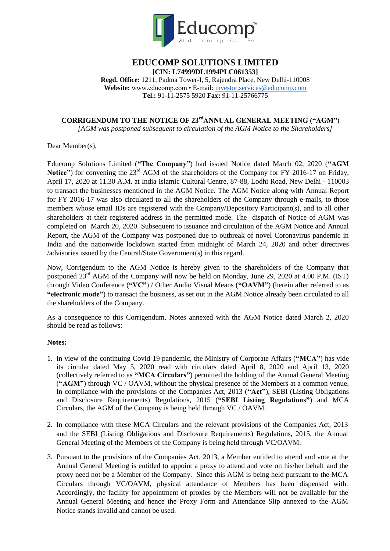

# **EDUCOMP SOLUTIONS LIMITED [CIN: L74999DL1994PLC061353]**

**Regd. Office:** 1211, Padma Tower-I, 5, Rajendra Place, New Delhi-110008 **Website:** www.educomp.com • E-mail[: investor.services@educomp.com](mailto:investor.services@educomp.com) **Tel.:** 91-11-2575 5920 **Fax:** 91-11-25766775

# **CORRIGENDUM TO THE NOTICE OF 23rdANNUAL GENERAL MEETING ("AGM")**

*[AGM was postponed subsequent to circulation of the AGM Notice to the Shareholders]*

Dear Member(s),

Educomp Solutions Limited (**"The Company"**) had issued Notice dated March 02, 2020 (**"AGM**  Notice") for convening the 23<sup>rd</sup> AGM of the shareholders of the Company for FY 2016-17 on Friday, April 17, 2020 at 11.30 A.M. at India Islamic Cultural Centre, 87-88, Lodhi Road, New Delhi - 110003 to transact the businesses mentioned in the AGM Notice. The AGM Notice along with Annual Report for FY 2016-17 was also circulated to all the shareholders of the Company through e-mails, to those members whose email IDs are registered with the Company/Depository Participant(s), and to all other shareholders at their registered address in the permitted mode. The dispatch of Notice of AGM was completed on March 20, 2020. Subsequent to issuance and circulation of the AGM Notice and Annual Report, the AGM of the Company was postponed due to outbreak of novel Coronavirus pandemic in India and the nationwide lockdown started from midnight of March 24, 2020 and other directives /advisories issued by the Central/State Government(s) in this regard.

Now, Corrigendum to the AGM Notice is hereby given to the shareholders of the Company that postponed 23<sup>rd</sup> AGM of the Company will now be held on Monday, June 29, 2020 at 4.00 P.M. (IST) through Video Conference (**"VC"**) / Other Audio Visual Means (**"OAVM"**) (herein after referred to as **"electronic mode"**) to transact the business, as set out in the AGM Notice already been circulated to all the shareholders of the Company.

As a consequence to this Corrigendum, Notes annexed with the AGM Notice dated March 2, 2020 should be read as follows:

# **Notes:**

- 1. In view of the continuing Covid-19 pandemic, the Ministry of Corporate Affairs (**"MCA"**) has vide its circular dated May 5, 2020 read with circulars dated April 8, 2020 and April 13, 2020 (collectively referred to as **"MCA Circulars"**) permitted the holding of the Annual General Meeting (**"AGM"**) through VC / OAVM, without the physical presence of the Members at a common venue. In compliance with the provisions of the Companies Act, 2013 (**"Act"**), SEBI (Listing Obligations and Disclosure Requirements) Regulations, 2015 (**"SEBI Listing Regulations"**) and MCA Circulars, the AGM of the Company is being held through VC / OAVM.
- 2. In compliance with these MCA Circulars and the relevant provisions of the Companies Act, 2013 and the SEBI (Listing Obligations and Disclosure Requirements) Regulations, 2015, the Annual General Meeting of the Members of the Company is being held through VC/OAVM.
- 3. Pursuant to the provisions of the Companies Act, 2013, a Member entitled to attend and vote at the Annual General Meeting is entitled to appoint a proxy to attend and vote on his/her behalf and the proxy need not be a Member of the Company. Since this AGM is being held pursuant to the MCA Circulars through VC/OAVM, physical attendance of Members has been dispensed with. Accordingly, the facility for appointment of proxies by the Members will not be available for the Annual General Meeting and hence the Proxy Form and Attendance Slip annexed to the AGM Notice stands invalid and cannot be used.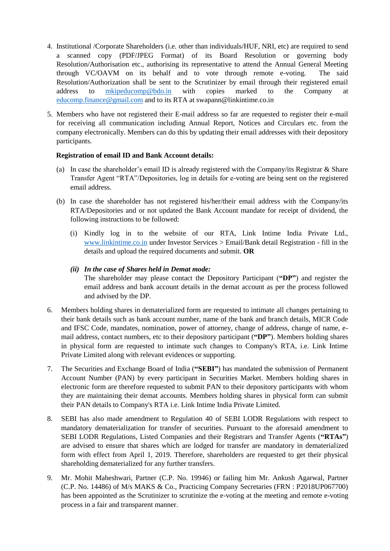- 4. Institutional /Corporate Shareholders (i.e. other than individuals/HUF, NRI, etc) are required to send a scanned copy (PDF/JPEG Format) of its Board Resolution or governing body Resolution/Authorisation etc., authorising its representative to attend the Annual General Meeting through VC/OAVM on its behalf and to vote through remote e-voting. The said Resolution/Authorization shall be sent to the Scrutinizer by email through their registered email address to [mkipeducomp@bdo.in](mailto:mkipeducomp@bdo.in) with copies marked to the Company at [educomp.finance@gmail.com](mailto:educomp.finance@gmail.com) and to its RTA at swapann@linkintime.co.in
- 5. Members who have not registered their E-mail address so far are requested to register their e-mail for receiving all communication including Annual Report, Notices and Circulars etc. from the company electronically. Members can do this by updating their email addresses with their depository participants.

## **Registration of email ID and Bank Account details:**

- (a) In case the shareholder's email ID is already registered with the Company/its Registrar  $\&$  Share Transfer Agent "RTA"/Depositories, log in details for e-voting are being sent on the registered email address.
- (b) In case the shareholder has not registered his/her/their email address with the Company/its RTA/Depositories and or not updated the Bank Account mandate for receipt of dividend, the following instructions to be followed:
	- (i) Kindly log in to the website of our RTA, Link Intime India Private Ltd., [www.linkintime.co.in](http://www.linkintime.co.in/) under Investor Services > Email/Bank detail Registration - fill in the details and upload the required documents and submit. **OR**

## *(ii) In the case of Shares held in Demat mode:*

The shareholder may please contact the Depository Participant (**"DP"**) and register the email address and bank account details in the demat account as per the process followed and advised by the DP.

- 6. Members holding shares in dematerialized form are requested to intimate all changes pertaining to their bank details such as bank account number, name of the bank and branch details, MICR Code and IFSC Code, mandates, nomination, power of attorney, change of address, change of name, email address, contact numbers, etc to their depository participant (**"DP"**). Members holding shares in physical form are requested to intimate such changes to Company's RTA, i.e. Link Intime Private Limited along with relevant evidences or supporting.
- 7. The Securities and Exchange Board of India (**"SEBI"**) has mandated the submission of Permanent Account Number (PAN) by every participant in Securities Market. Members holding shares in electronic form are therefore requested to submit PAN to their depository participants with whom they are maintaining their demat accounts. Members holding shares in physical form can submit their PAN details to Company's RTA i.e. Link Intime India Private Limited.
- 8. SEBI has also made amendment to Regulation 40 of SEBI LODR Regulations with respect to mandatory dematerialization for transfer of securities. Pursuant to the aforesaid amendment to SEBI LODR Regulations, Listed Companies and their Registrars and Transfer Agents (**"RTAs"**) are advised to ensure that shares which are lodged for transfer are mandatory in dematerialized form with effect from April 1, 2019. Therefore, shareholders are requested to get their physical shareholding dematerialized for any further transfers.
- 9. Mr. Mohit Maheshwari, Partner (C.P. No. 19946) or failing him Mr. Ankush Agarwal, Partner (C.P. No. 14486) of M/s MAKS & Co., Practicing Company Secretaries (FRN : P2018UP067700) has been appointed as the Scrutinizer to scrutinize the e-voting at the meeting and remote e-voting process in a fair and transparent manner.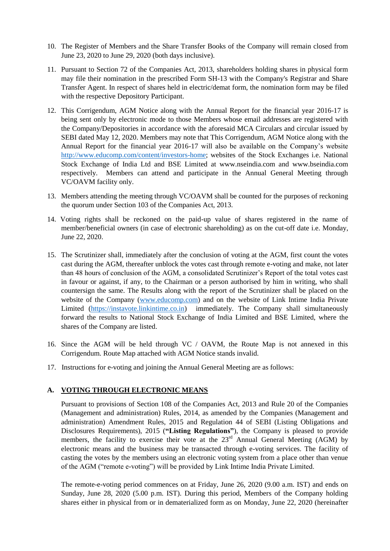- 10. The Register of Members and the Share Transfer Books of the Company will remain closed from June 23, 2020 to June 29, 2020 (both days inclusive).
- 11. Pursuant to Section 72 of the Companies Act, 2013, shareholders holding shares in physical form may file their nomination in the prescribed Form SH-13 with the Company's Registrar and Share Transfer Agent. In respect of shares held in electric/demat form, the nomination form may be filed with the respective Depository Participant.
- 12. This Corrigendum, AGM Notice along with the Annual Report for the financial year 2016-17 is being sent only by electronic mode to those Members whose email addresses are registered with the Company/Depositories in accordance with the aforesaid MCA Circulars and circular issued by SEBI dated May 12, 2020. Members may note that This Corrigendum, AGM Notice along with the Annual Report for the financial year 2016-17 will also be available on the Company"s website [http://www.educomp.com/content/investors-home;](http://www.educomp.com/content/investors-home) websites of the Stock Exchanges i.e. National Stock Exchange of India Ltd and BSE Limited at www.nseindia.com and www.bseindia.com respectively. Members can attend and participate in the Annual General Meeting through VC/OAVM facility only.
- 13. Members attending the meeting through VC/OAVM shall be counted for the purposes of reckoning the quorum under Section 103 of the Companies Act, 2013.
- 14. Voting rights shall be reckoned on the paid-up value of shares registered in the name of member/beneficial owners (in case of electronic shareholding) as on the cut-off date i.e. Monday, June 22, 2020.
- 15. The Scrutinizer shall, immediately after the conclusion of voting at the AGM, first count the votes cast during the AGM, thereafter unblock the votes cast through remote e-voting and make, not later than 48 hours of conclusion of the AGM, a consolidated Scrutinizer"s Report of the total votes cast in favour or against, if any, to the Chairman or a person authorised by him in writing, who shall countersign the same. The Results along with the report of the Scrutinizer shall be placed on the website of the Company [\(www.educomp.com\)](http://www.educomp.com/) and on the website of Link Intime India Private Limited [\(https://instavote.linkintime.co.in\)](https://instavote.linkintime.co.in/) immediately. The Company shall simultaneously forward the results to National Stock Exchange of India Limited and BSE Limited, where the shares of the Company are listed.
- 16. Since the AGM will be held through VC / OAVM, the Route Map is not annexed in this Corrigendum. Route Map attached with AGM Notice stands invalid.
- 17. Instructions for e-voting and joining the Annual General Meeting are as follows:

### **A. VOTING THROUGH ELECTRONIC MEANS**

Pursuant to provisions of Section 108 of the Companies Act, 2013 and Rule 20 of the Companies (Management and administration) Rules, 2014, as amended by the Companies (Management and administration) Amendment Rules, 2015 and Regulation 44 of SEBI (Listing Obligations and Disclosures Requirements), 2015 (**"Listing Regulations"**), the Company is pleased to provide members, the facility to exercise their vote at the  $23<sup>rd</sup>$  Annual General Meeting (AGM) by electronic means and the business may be transacted through e-voting services. The facility of casting the votes by the members using an electronic voting system from a place other than venue of the AGM ("remote e-voting") will be provided by Link Intime India Private Limited.

The remote-e-voting period commences on at Friday, June 26, 2020 (9.00 a.m. IST) and ends on Sunday, June 28, 2020 (5.00 p.m. IST). During this period, Members of the Company holding shares either in physical from or in dematerialized form as on Monday, June 22, 2020 (hereinafter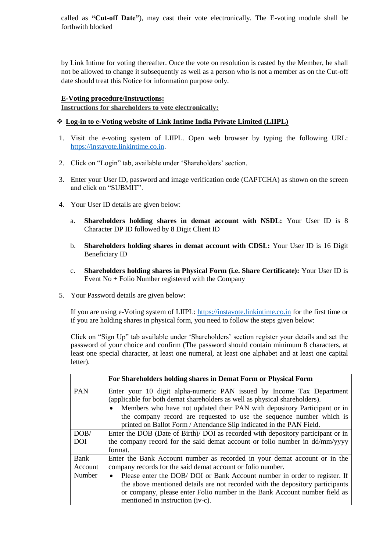called as **"Cut-off Date"**), may cast their vote electronically. The E-voting module shall be forthwith blocked

by Link Intime for voting thereafter. Once the vote on resolution is casted by the Member, he shall not be allowed to change it subsequently as well as a person who is not a member as on the Cut-off date should treat this Notice for information purpose only.

## **E-Voting procedure/Instructions:**

**Instructions for shareholders to vote electronically:**

# **Log-in to e-Voting website of Link Intime India Private Limited (LIIPL)**

- 1. Visit the e-voting system of LIIPL. Open web browser by typing the following URL: [https://instavote.linkintime.co.in.](https://instavote.linkintime.co.in/)
- 2. Click on "Login" tab, available under 'Shareholders' section.
- 3. Enter your User ID, password and image verification code (CAPTCHA) as shown on the screen and click on "SUBMIT".
- 4. Your User ID details are given below:
	- a. **Shareholders holding shares in demat account with NSDL:** Your User ID is 8 Character DP ID followed by 8 Digit Client ID
	- b. **Shareholders holding shares in demat account with CDSL:** Your User ID is 16 Digit Beneficiary ID
	- c. **Shareholders holding shares in Physical Form (i.e. Share Certificate):** Your User ID is Event No + Folio Number registered with the Company
- 5. Your Password details are given below:

If you are using e-Voting system of LIIPL: [https://instavote.linkintime.co.in](https://instavote.linkintime.co.in/) for the first time or if you are holding shares in physical form, you need to follow the steps given below:

Click on "Sign Up" tab available under "Shareholders" section register your details and set the password of your choice and confirm (The password should contain minimum 8 characters, at least one special character, at least one numeral, at least one alphabet and at least one capital letter).

|                           | For Shareholders holding shares in Demat Form or Physical Form                                                                                                                                                                                                                                                                                                                                                                       |
|---------------------------|--------------------------------------------------------------------------------------------------------------------------------------------------------------------------------------------------------------------------------------------------------------------------------------------------------------------------------------------------------------------------------------------------------------------------------------|
| <b>PAN</b>                | Enter your 10 digit alpha-numeric PAN issued by Income Tax Department<br>(applicable for both demat shareholders as well as physical shareholders).<br>Members who have not updated their PAN with depository Participant or in<br>the company record are requested to use the sequence number which is<br>printed on Ballot Form / Attendance Slip indicated in the PAN Field.                                                      |
| DOB/<br><b>DOI</b>        | Enter the DOB (Date of Birth)/ DOI as recorded with depository participant or in<br>the company record for the said demat account or folio number in dd/mm/yyyy<br>format.                                                                                                                                                                                                                                                           |
| Bank<br>Account<br>Number | Enter the Bank Account number as recorded in your demat account or in the<br>company records for the said demat account or folio number.<br>Please enter the DOB/ DOI or Bank Account number in order to register. If<br>$\bullet$<br>the above mentioned details are not recorded with the depository participants<br>or company, please enter Folio number in the Bank Account number field as<br>mentioned in instruction (iv-c). |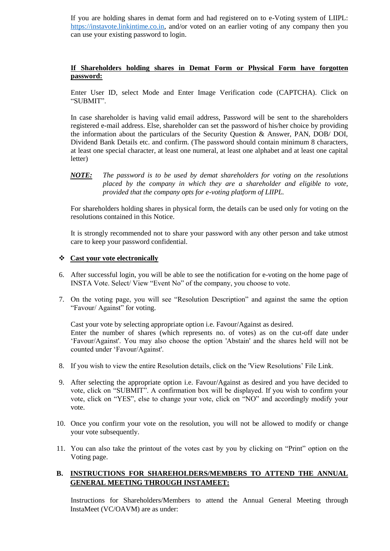If you are holding shares in demat form and had registered on to e-Voting system of LIIPL: [https://instavote.linkintime.co.in,](https://instavote.linkintime.co.in/) and/or voted on an earlier voting of any company then you can use your existing password to login.

## **If Shareholders holding shares in Demat Form or Physical Form have forgotten password:**

Enter User ID, select Mode and Enter Image Verification code (CAPTCHA). Click on "SUBMIT".

In case shareholder is having valid email address, Password will be sent to the shareholders registered e-mail address. Else, shareholder can set the password of his/her choice by providing the information about the particulars of the Security Question & Answer, PAN, DOB/ DOI, Dividend Bank Details etc. and confirm. (The password should contain minimum 8 characters, at least one special character, at least one numeral, at least one alphabet and at least one capital letter)

## *NOTE: The password is to be used by demat shareholders for voting on the resolutions placed by the company in which they are a shareholder and eligible to vote, provided that the company opts for e-voting platform of LIIPL.*

For shareholders holding shares in physical form, the details can be used only for voting on the resolutions contained in this Notice.

It is strongly recommended not to share your password with any other person and take utmost care to keep your password confidential.

### **Cast your vote electronically**

- 6. After successful login, you will be able to see the notification for e-voting on the home page of INSTA Vote. Select/ View "Event No" of the company, you choose to vote.
- 7. On the voting page, you will see "Resolution Description" and against the same the option "Favour/ Against" for voting.

Cast your vote by selecting appropriate option i.e. Favour/Against as desired. Enter the number of shares (which represents no. of votes) as on the cut-off date under "Favour/Against'. You may also choose the option 'Abstain' and the shares held will not be counted under "Favour/Against'.

- 8. If you wish to view the entire Resolution details, click on the 'View Resolutions" File Link.
- 9. After selecting the appropriate option i.e. Favour/Against as desired and you have decided to vote, click on "SUBMIT". A confirmation box will be displayed. If you wish to confirm your vote, click on "YES", else to change your vote, click on "NO" and accordingly modify your vote.
- 10. Once you confirm your vote on the resolution, you will not be allowed to modify or change your vote subsequently.
- 11. You can also take the printout of the votes cast by you by clicking on "Print" option on the Voting page.

# **B. INSTRUCTIONS FOR SHAREHOLDERS/MEMBERS TO ATTEND THE ANNUAL GENERAL MEETING THROUGH INSTAMEET:**

Instructions for Shareholders/Members to attend the Annual General Meeting through InstaMeet (VC/OAVM) are as under: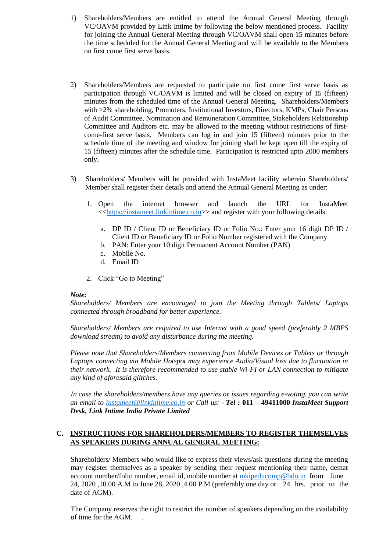- 1) Shareholders/Members are entitled to attend the Annual General Meeting through VC/OAVM provided by Link Intime by following the below mentioned process. Facility for joining the Annual General Meeting through VC/OAVM shall open 15 minutes before the time scheduled for the Annual General Meeting and will be available to the Members on first come first serve basis.
- 2) Shareholders/Members are requested to participate on first come first serve basis as participation through VC/OAVM is limited and will be closed on expiry of 15 (fifteen) minutes from the scheduled time of the Annual General Meeting. Shareholders/Members with >2% shareholding, Promoters, Institutional Investors, Directors, KMPs, Chair Persons of Audit Committee, Nomination and Remuneration Committee, Stakeholders Relationship Committee and Auditors etc. may be allowed to the meeting without restrictions of firstcome-first serve basis. Members can log in and join 15 (fifteen) minutes prior to the schedule time of the meeting and window for joining shall be kept open till the expiry of 15 (fifteen) minutes after the schedule time. Participation is restricted upto 2000 members only.
- 3) Shareholders/ Members will be provided with InstaMeet facility wherein Shareholders/ Member shall register their details and attend the Annual General Meeting as under:
	- 1. Open the internet browser and launch the URL for InstaMeet <[<https://instameet.linkintime.co.in>](https://instameet.linkintime.co.in/)> and register with your following details:
		- a. DP ID / Client ID or Beneficiary ID or Folio No.: Enter your 16 digit DP ID / Client ID or Beneficiary ID or Folio Number registered with the Company
		- b. PAN: Enter your 10 digit Permanent Account Number (PAN)
		- c. Mobile No.
		- d. Email ID
	- 2. Click "Go to Meeting"

### *Note:*

*Shareholders/ Members are encouraged to join the Meeting through Tablets/ Laptops connected through broadband for better experience.*

*Shareholders/ Members are required to use Internet with a good speed (preferably 2 MBPS download stream) to avoid any disturbance during the meeting.*

*Please note that Shareholders/Members connecting from Mobile Devices or Tablets or through Laptops connecting via Mobile Hotspot may experience Audio/Visual loss due to fluctuation in their network. It is therefore recommended to use stable Wi-FI or LAN connection to mitigate any kind of aforesaid glitches.*

*In case the shareholders/members have any queries or issues regarding e-voting, you can write an email to [instameet@linkintime.co.in](mailto:instameet@linkintime.co.in) or Call us: - Tel :* **011 – 49411000** *InstaMeet Support Desk, Link Intime India Private Limited*

# **C. INSTRUCTIONS FOR SHAREHOLDERS/MEMBERS TO REGISTER THEMSELVES AS SPEAKERS DURING ANNUAL GENERAL MEETING:**

Shareholders/ Members who would like to express their views/ask questions during the meeting may register themselves as a speaker by sending their request mentioning their name, demat account number/folio number, email id, mobile number at [mkipeducomp@bdo.in](mailto:mkipeducomp@bdo.in) from June 24, 2020 ,10.00 A.M to June 28, 2020 ,4.00 P.M (preferably one day or 24 hrs. prior to the date of AGM).

The Company reserves the right to restrict the number of speakers depending on the availability of time for the AGM. .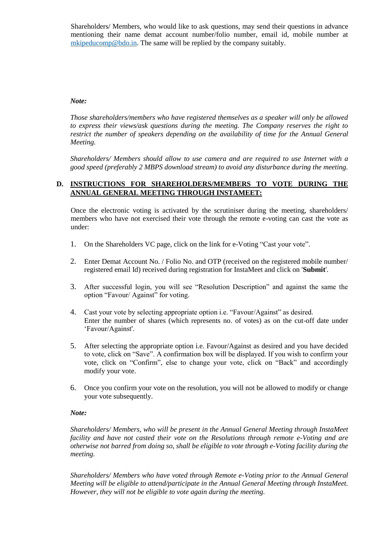Shareholders/ Members, who would like to ask questions, may send their questions in advance mentioning their name demat account number/folio number, email id, mobile number at [mkipeducomp@bdo.in.](mailto:mkipeducomp@bdo.in) The same will be replied by the company suitably.

## *Note:*

*Those shareholders/members who have registered themselves as a speaker will only be allowed to express their views/ask questions during the meeting. The Company reserves the right to restrict the number of speakers depending on the availability of time for the Annual General Meeting.*

*Shareholders/ Members should allow to use camera and are required to use Internet with a good speed (preferably 2 MBPS download stream) to avoid any disturbance during the meeting.*

## **D. INSTRUCTIONS FOR SHAREHOLDERS/MEMBERS TO VOTE DURING THE ANNUAL GENERAL MEETING THROUGH INSTAMEET:**

Once the electronic voting is activated by the scrutiniser during the meeting, shareholders/ members who have not exercised their vote through the remote e-voting can cast the vote as under:

- 1. On the Shareholders VC page, click on the link for e-Voting "Cast your vote".
- 2. Enter Demat Account No. / Folio No. and OTP (received on the registered mobile number/ registered email Id) received during registration for InstaMeet and click on '**Submit**'.
- 3. After successful login, you will see "Resolution Description" and against the same the option "Favour/ Against" for voting.
- 4. Cast your vote by selecting appropriate option i.e. "Favour/Against" as desired. Enter the number of shares (which represents no. of votes) as on the cut-off date under 'Favour/Against'.
- 5. After selecting the appropriate option i.e. Favour/Against as desired and you have decided to vote, click on "Save". A confirmation box will be displayed. If you wish to confirm your vote, click on "Confirm", else to change your vote, click on "Back" and accordingly modify your vote.
- 6. Once you confirm your vote on the resolution, you will not be allowed to modify or change your vote subsequently.

### *Note:*

*Shareholders/ Members, who will be present in the Annual General Meeting through InstaMeet facility and have not casted their vote on the Resolutions through remote e-Voting and are otherwise not barred from doing so, shall be eligible to vote through e-Voting facility during the meeting.* 

*Shareholders/ Members who have voted through Remote e-Voting prior to the Annual General Meeting will be eligible to attend/participate in the Annual General Meeting through InstaMeet. However, they will not be eligible to vote again during the meeting.*